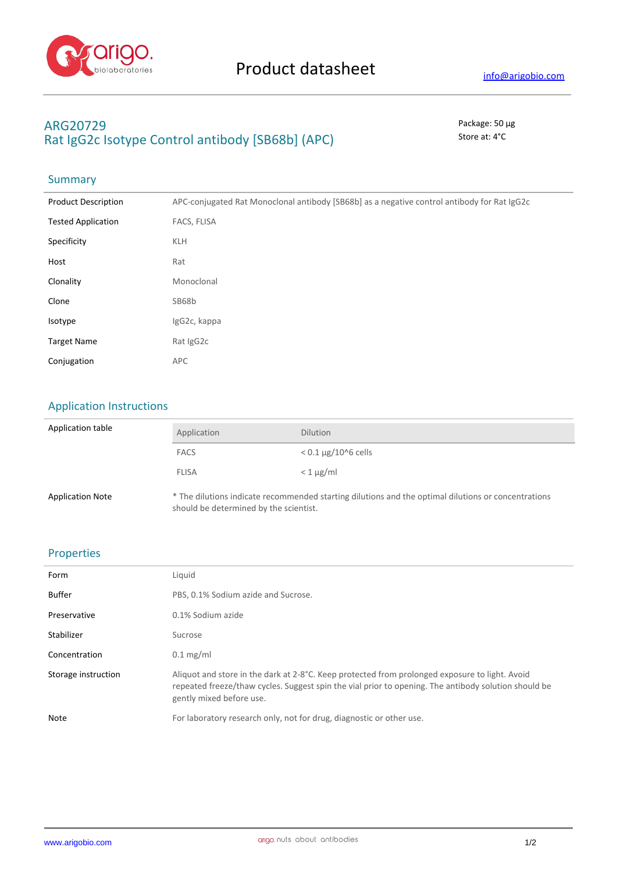

# **ARG20729** Package: 50 μg Rat IgG2c Isotype Control antibody [SB68b] (APC) Store at: 4°C

#### **Summary**

| <b>Product Description</b> | APC-conjugated Rat Monoclonal antibody [SB68b] as a negative control antibody for Rat IgG2c |
|----------------------------|---------------------------------------------------------------------------------------------|
| <b>Tested Application</b>  | FACS, FLISA                                                                                 |
| Specificity                | <b>KLH</b>                                                                                  |
| Host                       | Rat                                                                                         |
| Clonality                  | Monoclonal                                                                                  |
| Clone                      | SB68b                                                                                       |
| Isotype                    | IgG2c, kappa                                                                                |
| <b>Target Name</b>         | Rat IgG2c                                                                                   |
| Conjugation                | APC                                                                                         |

## Application Instructions

| Application table       | Application                                                                                                                                   | <b>Dilution</b>          |
|-------------------------|-----------------------------------------------------------------------------------------------------------------------------------------------|--------------------------|
|                         | <b>FACS</b>                                                                                                                                   | $< 0.1 \mu$ g/10^6 cells |
|                         | <b>FLISA</b>                                                                                                                                  | $<$ 1 $\mu$ g/ml         |
| <b>Application Note</b> | * The dilutions indicate recommended starting dilutions and the optimal dilutions or concentrations<br>should be determined by the scientist. |                          |

## Properties

| Form                | Liquid                                                                                                                                                                                                                             |
|---------------------|------------------------------------------------------------------------------------------------------------------------------------------------------------------------------------------------------------------------------------|
| <b>Buffer</b>       | PBS, 0.1% Sodium azide and Sucrose.                                                                                                                                                                                                |
| Preservative        | 0.1% Sodium azide                                                                                                                                                                                                                  |
| Stabilizer          | Sucrose                                                                                                                                                                                                                            |
| Concentration       | $0.1 \text{ mg/ml}$                                                                                                                                                                                                                |
| Storage instruction | Aliquot and store in the dark at 2-8°C. Keep protected from prolonged exposure to light. Avoid<br>repeated freeze/thaw cycles. Suggest spin the vial prior to opening. The antibody solution should be<br>gently mixed before use. |
| Note                | For laboratory research only, not for drug, diagnostic or other use.                                                                                                                                                               |